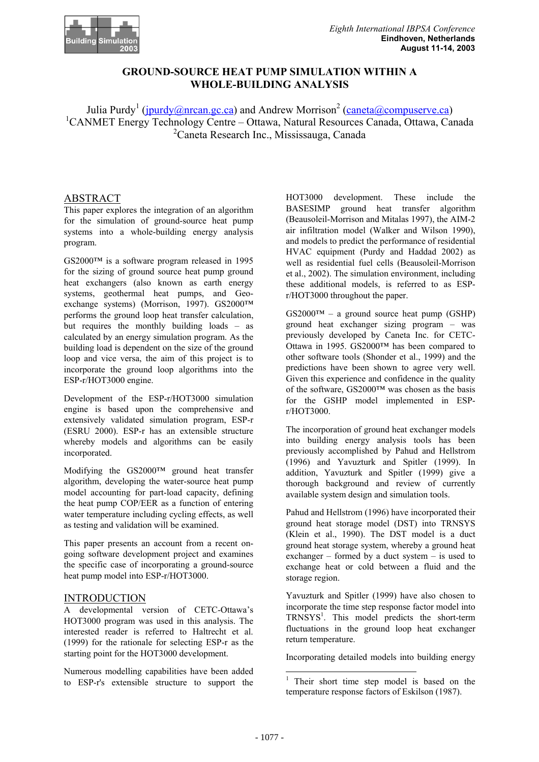

# **GROUND-SOURCE HEAT PUMP SIMULATION WITHIN A WHOLE-BUILDING ANALYSIS**

Julia Purdy<sup>1</sup> (*jpurdy@nrcan.gc.ca*) and Andrew Morrison<sup>2</sup> (*caneta@compuserve.ca*) 1 CANMET Energy Technology Centre – Ottawa, Natural Resources Canada, Ottawa, Canada 2 Caneta Research Inc., Mississauga, Canada

## ABSTRACT

This paper explores the integration of an algorithm for the simulation of ground-source heat pump systems into a whole-building energy analysis program.

GS2000™ is a software program released in 1995 for the sizing of ground source heat pump ground heat exchangers (also known as earth energy systems, geothermal heat pumps, and Geoexchange systems) (Morrison, 1997). GS2000™ performs the ground loop heat transfer calculation, but requires the monthly building loads – as calculated by an energy simulation program. As the building load is dependent on the size of the ground loop and vice versa, the aim of this project is to incorporate the ground loop algorithms into the ESP-r/HOT3000 engine.

Development of the ESP-r/HOT3000 simulation engine is based upon the comprehensive and extensively validated simulation program, ESP-r (ESRU 2000). ESP-r has an extensible structure whereby models and algorithms can be easily incorporated.

Modifying the GS2000™ ground heat transfer algorithm, developing the water-source heat pump model accounting for part-load capacity, defining the heat pump COP/EER as a function of entering water temperature including cycling effects, as well as testing and validation will be examined.

This paper presents an account from a recent ongoing software development project and examines the specific case of incorporating a ground-source heat pump model into ESP-r/HOT3000.

## INTRODUCTION

A developmental version of CETC-Ottawa's HOT3000 program was used in this analysis. The interested reader is referred to Haltrecht et al. (1999) for the rationale for selecting ESP-r as the starting point for the HOT3000 development.

Numerous modelling capabilities have been added to ESP-r's extensible structure to support the HOT3000 development. These include the BASESIMP ground heat transfer algorithm (Beausoleil-Morrison and Mitalas 1997), the AIM-2 air infiltration model (Walker and Wilson 1990), and models to predict the performance of residential HVAC equipment (Purdy and Haddad 2002) as well as residential fuel cells (Beausoleil-Morrison et al., 2002). The simulation environment, including these additional models, is referred to as ESPr/HOT3000 throughout the paper.

 $GS2000<sup>TM</sup> - a$  ground source heat pump (GSHP) ground heat exchanger sizing program – was previously developed by Caneta Inc. for CETC-Ottawa in 1995. GS2000™ has been compared to other software tools (Shonder et al., 1999) and the predictions have been shown to agree very well. Given this experience and confidence in the quality of the software, GS2000™ was chosen as the basis for the GSHP model implemented in ESPr/HOT3000.

The incorporation of ground heat exchanger models into building energy analysis tools has been previously accomplished by Pahud and Hellstrom (1996) and Yavuzturk and Spitler (1999). In addition, Yavuzturk and Spitler (1999) give a thorough background and review of currently available system design and simulation tools.

Pahud and Hellstrom (1996) have incorporated their ground heat storage model (DST) into TRNSYS (Klein et al., 1990). The DST model is a duct ground heat storage system, whereby a ground heat exchanger – formed by a duct system – is used to exchange heat or cold between a fluid and the storage region.

Yavuzturk and Spitler (1999) have also chosen to incorporate the time step response factor model into TRNSYS<sup>1</sup>. This model predicts the short-term fluctuations in the ground loop heat exchanger return temperature.

Incorporating detailed models into building energy

l

<sup>&</sup>lt;sup>1</sup> Their short time step model is based on the temperature response factors of Eskilson (1987).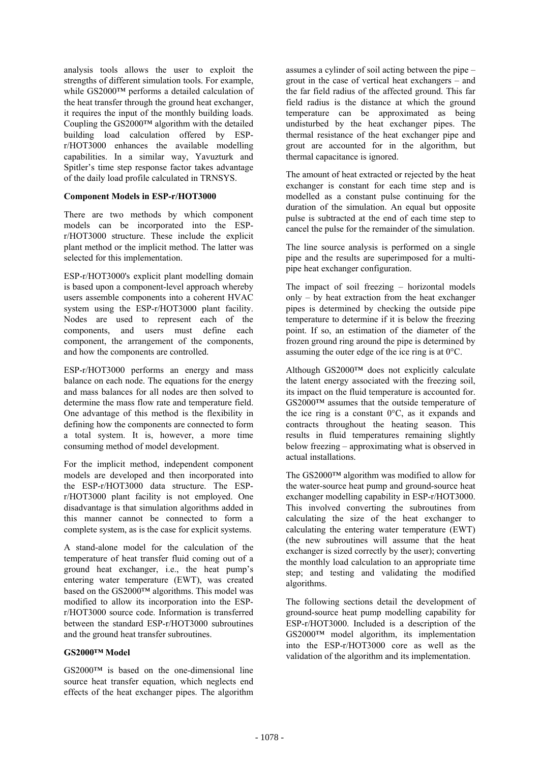analysis tools allows the user to exploit the strengths of different simulation tools. For example, while GS2000™ performs a detailed calculation of the heat transfer through the ground heat exchanger, it requires the input of the monthly building loads. Coupling the GS2000™ algorithm with the detailed building load calculation offered by ESPr/HOT3000 enhances the available modelling capabilities. In a similar way, Yavuzturk and Spitler's time step response factor takes advantage of the daily load profile calculated in TRNSYS.

## **Component Models in ESP-r/HOT3000**

There are two methods by which component models can be incorporated into the ESPr/HOT3000 structure. These include the explicit plant method or the implicit method. The latter was selected for this implementation.

ESP-r/HOT3000's explicit plant modelling domain is based upon a component-level approach whereby users assemble components into a coherent HVAC system using the ESP-r/HOT3000 plant facility. Nodes are used to represent each of the components, and users must define each component, the arrangement of the components, and how the components are controlled.

ESP-r/HOT3000 performs an energy and mass balance on each node. The equations for the energy and mass balances for all nodes are then solved to determine the mass flow rate and temperature field. One advantage of this method is the flexibility in defining how the components are connected to form a total system. It is, however, a more time consuming method of model development.

For the implicit method, independent component models are developed and then incorporated into the ESP-r/HOT3000 data structure. The ESPr/HOT3000 plant facility is not employed. One disadvantage is that simulation algorithms added in this manner cannot be connected to form a complete system, as is the case for explicit systems.

A stand-alone model for the calculation of the temperature of heat transfer fluid coming out of a ground heat exchanger, i.e., the heat pump's entering water temperature (EWT), was created based on the  $GS2000^{\text{TM}}$  algorithms. This model was modified to allow its incorporation into the ESPr/HOT3000 source code. Information is transferred between the standard ESP-r/HOT3000 subroutines and the ground heat transfer subroutines.

### **GS2000™ Model**

 $GS2000<sup>TM</sup>$  is based on the one-dimensional line source heat transfer equation, which neglects end effects of the heat exchanger pipes. The algorithm assumes a cylinder of soil acting between the pipe – grout in the case of vertical heat exchangers – and the far field radius of the affected ground. This far field radius is the distance at which the ground temperature can be approximated as being undisturbed by the heat exchanger pipes. The thermal resistance of the heat exchanger pipe and grout are accounted for in the algorithm, but thermal capacitance is ignored.

The amount of heat extracted or rejected by the heat exchanger is constant for each time step and is modelled as a constant pulse continuing for the duration of the simulation. An equal but opposite pulse is subtracted at the end of each time step to cancel the pulse for the remainder of the simulation.

The line source analysis is performed on a single pipe and the results are superimposed for a multipipe heat exchanger configuration.

The impact of soil freezing – horizontal models only – by heat extraction from the heat exchanger pipes is determined by checking the outside pipe temperature to determine if it is below the freezing point. If so, an estimation of the diameter of the frozen ground ring around the pipe is determined by assuming the outer edge of the ice ring is at 0°C.

Although GS2000™ does not explicitly calculate the latent energy associated with the freezing soil, its impact on the fluid temperature is accounted for. GS2000™ assumes that the outside temperature of the ice ring is a constant  $0^{\circ}$ C, as it expands and contracts throughout the heating season. This results in fluid temperatures remaining slightly below freezing – approximating what is observed in actual installations.

The GS2000™ algorithm was modified to allow for the water-source heat pump and ground-source heat exchanger modelling capability in ESP-r/HOT3000. This involved converting the subroutines from calculating the size of the heat exchanger to calculating the entering water temperature (EWT) (the new subroutines will assume that the heat exchanger is sized correctly by the user); converting the monthly load calculation to an appropriate time step; and testing and validating the modified algorithms.

The following sections detail the development of ground-source heat pump modelling capability for ESP-r/HOT3000. Included is a description of the GS2000™ model algorithm, its implementation into the ESP-r/HOT3000 core as well as the validation of the algorithm and its implementation.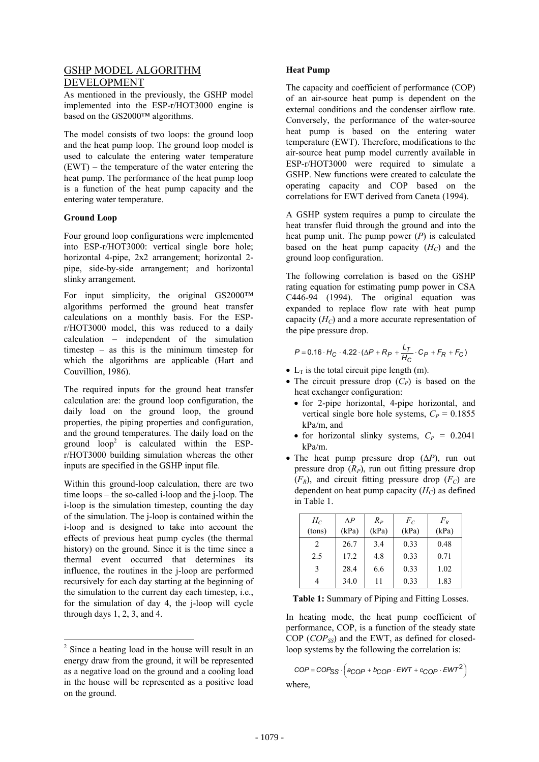## GSHP MODEL ALGORITHM DEVELOPMENT

As mentioned in the previously, the GSHP model implemented into the ESP-r/HOT3000 engine is based on the GS2000™ algorithms.

The model consists of two loops: the ground loop and the heat pump loop. The ground loop model is used to calculate the entering water temperature (EWT) – the temperature of the water entering the heat pump. The performance of the heat pump loop is a function of the heat pump capacity and the entering water temperature.

## **Ground Loop**

Four ground loop configurations were implemented into ESP-r/HOT3000: vertical single bore hole; horizontal 4-pipe, 2x2 arrangement; horizontal 2 pipe, side-by-side arrangement; and horizontal slinky arrangement.<br>
The following correlation is based on the GSHP

For input simplicity, the original GS2000™ algorithms performed the ground heat transfer calculations on a monthly basis. For the ESPr/HOT3000 model, this was reduced to a daily calculation – independent of the simulation timestep – as this is the minimum timestep for which the algorithms are applicable (Hart and Couvillion, 1986).

The required inputs for the ground heat transfer calculation are: the ground loop configuration, the daily load on the ground loop, the ground properties, the piping properties and configuration, and the ground temperatures. The daily load on the ground  $loop<sup>2</sup>$  is calculated within the ESPr/HOT3000 building simulation whereas the other inputs are specified in the GSHP input file.

Within this ground-loop calculation, there are two time loops – the so-called i-loop and the j-loop. The i-loop is the simulation timestep, counting the day of the simulation. The j-loop is contained within the i-loop and is designed to take into account the effects of previous heat pump cycles (the thermal history) on the ground. Since it is the time since a thermal event occurred that determines its influence, the routines in the j-loop are performed recursively for each day starting at the beginning of the simulation to the current day each timestep, i.e., for the simulation of day 4, the j-loop will cycle through days 1, 2, 3, and 4.

l

## **Heat Pump**

The capacity and coefficient of performance (COP) of an air-source heat pump is dependent on the external conditions and the condenser airflow rate. Conversely, the performance of the water-source heat pump is based on the entering water temperature (EWT). Therefore, modifications to the air-source heat pump model currently available in ESP-r/HOT3000 were required to simulate a GSHP. New functions were created to calculate the operating capacity and COP based on the correlations for EWT derived from Caneta (1994).

A GSHP system requires a pump to circulate the heat transfer fluid through the ground and into the heat pump unit. The pump power (*P*) is calculated based on the heat pump capacity  $(H_C)$  and the ground loop configuration.

rating equation for estimating pump power in CSA C446-94 (1994). The original equation was expanded to replace flow rate with heat pump capacity  $(H_C)$  and a more accurate representation of the pipe pressure drop.

$$
P = 0.16 \cdot H_C \cdot 4.22 \cdot (\Delta P + R_P + \frac{L_T}{H_C} \cdot C_P + F_R + F_C)
$$

- $L_T$  is the total circuit pipe length (m).
- The circuit pressure drop  $(C_P)$  is based on the heat exchanger configuration:
	- for 2-pipe horizontal, 4-pipe horizontal, and vertical single bore hole systems,  $C_P = 0.1855$ kPa/m, and
	- for horizontal slinky systems,  $C_P = 0.2041$ kPa/m.
- The heat pump pressure drop (∆*P*), run out pressure drop  $(R_P)$ , run out fitting pressure drop  $(F_R)$ , and circuit fitting pressure drop  $(F_C)$  are dependent on heat pump capacity  $(H_C)$  as defined in Table 1.

| $H_C$<br>(tons)               | $\Lambda P$<br>(kPa) | $R_P$<br>(kPa) | $F_C$<br>(kPa) | $F_R$<br>(kPa) |
|-------------------------------|----------------------|----------------|----------------|----------------|
| $\mathfrak{D}_{\mathfrak{p}}$ | 26.7                 | 3.4            | 0.33           | 0.48           |
| 2.5                           | 17.2                 | 4.8            | 0.33           | 0.71           |
| $\mathbf{3}$                  | 28.4                 | 6.6            | 0.33           | 1.02           |
| 4                             | 34.0                 | 11             | 0.33           | 1.83           |

|  |  |  | Table 1: Summary of Piping and Fitting Losses. |  |
|--|--|--|------------------------------------------------|--|
|--|--|--|------------------------------------------------|--|

In heating mode, the heat pump coefficient of performance, COP, is a function of the steady state COP (*COPSS*) and the EWT, as defined for closedloop systems by the following the correlation is:

```
COP = COP_{SS} \cdot \left( a_{COP} + b_{COP} \cdot EWT + c_{COP} \cdot EWT^2 \right)where,
```
 $2^2$  Since a heating load in the house will result in an energy draw from the ground, it will be represented as a negative load on the ground and a cooling load in the house will be represented as a positive load on the ground.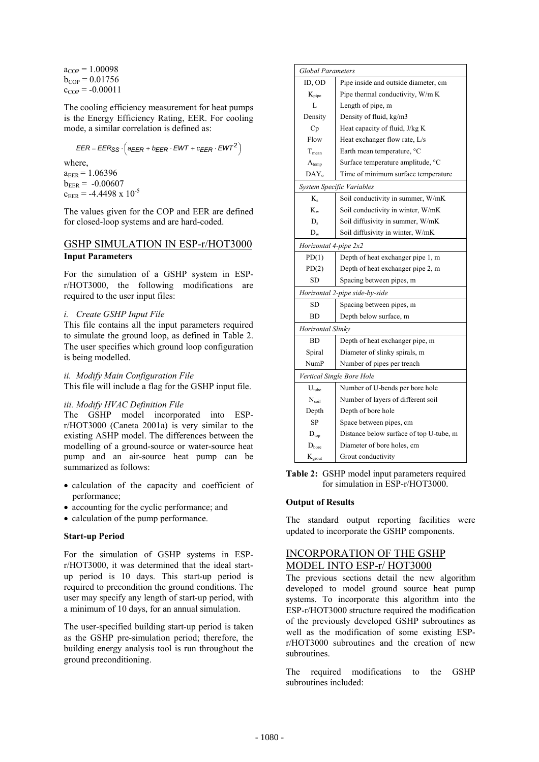$a_{\text{COP}} = 1.00098$  $b_{COP} = 0.01756$  $c_{COP} = -0.00011$ 

The cooling efficiency measurement for heat pumps is the Energy Efficiency Rating, EER. For cooling mode, a similar correlation is defined as:

 $EER = EER_{SS} \cdot \left(a_{EER} + b_{EER} \cdot EWT + c_{EER} \cdot EWT^2\right)$ 

where,  $a_{EER} = 1.06396$  $b_{EER} = -0.00607$ 

 $c_{EER}$  = -4.4498 x 10<sup>-5</sup>

The values given for the COP and EER are defined for closed-loop systems and are hard-coded.

## GSHP SIMULATION IN ESP-r/HOT3000 **Input Parameters**

For the simulation of a GSHP system in ESPr/HOT3000, the following modifications are required to the user input files:

## *i. Create GSHP Input File*

This file contains all the input parameters required to simulate the ground loop, as defined in Table 2. The user specifies which ground loop configuration is being modelled.

## *ii. Modify Main Configuration File*

This file will include a flag for the GSHP input file.

## *iii. Modify HVAC Definition File*

The GSHP model incorporated into ESPr/HOT3000 (Caneta 2001a) is very similar to the existing ASHP model. The differences between the modelling of a ground-source or water-source heat pump and an air-source heat pump can be summarized as follows:

- calculation of the capacity and coefficient of for simulation in ESP-r/HOT3000. performance; **Output of Results**  • accounting for the cyclic performance; and
- 
- 

For the simulation of GSHP systems in ESPr/HOT3000, it was determined that the ideal startup period is 10 days. This start-up period is required to precondition the ground conditions. The user may specify any length of start-up period, with a minimum of 10 days, for an annual simulation.

The user-specified building start-up period is taken as the GSHP pre-simulation period; therefore, the building energy analysis tool is run throughout the ground preconditioning.

|                                | <b>Global Parameters</b>                |  |  |  |  |
|--------------------------------|-----------------------------------------|--|--|--|--|
| ID, OD                         | Pipe inside and outside diameter, cm    |  |  |  |  |
| $K_{\text{pipe}}$              | Pipe thermal conductivity, W/m K        |  |  |  |  |
| L                              | Length of pipe, m                       |  |  |  |  |
| Density                        | Density of fluid, kg/m3                 |  |  |  |  |
| Cp                             | Heat capacity of fluid, J/kg K          |  |  |  |  |
| Flow                           | Heat exchanger flow rate, L/s           |  |  |  |  |
| T <sub>mean</sub>              | Earth mean temperature, °C              |  |  |  |  |
| $A_{temp}$                     | Surface temperature amplitude, °C       |  |  |  |  |
| $DAY_0$                        | Time of minimum surface temperature     |  |  |  |  |
| System Specific Variables      |                                         |  |  |  |  |
| $K_{\rm s}$                    | Soil conductivity in summer, W/mK       |  |  |  |  |
| $K_{w}$                        | Soil conductivity in winter, W/mK       |  |  |  |  |
| $D_s$                          | Soil diffusivity in summer, W/mK        |  |  |  |  |
| $D_{w}$                        | Soil diffusivity in winter, W/mK        |  |  |  |  |
| Horizontal 4-pipe 2x2          |                                         |  |  |  |  |
| PD(1)                          | Depth of heat exchanger pipe 1, m       |  |  |  |  |
| PD(2)                          | Depth of heat exchanger pipe 2, m       |  |  |  |  |
| <b>SD</b>                      | Spacing between pipes, m                |  |  |  |  |
| Horizontal 2-pipe side-by-side |                                         |  |  |  |  |
| <b>SD</b>                      | Spacing between pipes, m                |  |  |  |  |
| <b>BD</b>                      | Depth below surface, m                  |  |  |  |  |
| Horizontal Slinky              |                                         |  |  |  |  |
| <b>BD</b>                      | Depth of heat exchanger pipe, m         |  |  |  |  |
| Spiral                         | Diameter of slinky spirals, m           |  |  |  |  |
| <b>NumP</b>                    | Number of pipes per trench              |  |  |  |  |
| Vertical Single Bore Hole      |                                         |  |  |  |  |
| $U_{\text{tube}}$              | Number of U-bends per bore hole         |  |  |  |  |
| $N_{\rm soil}$                 | Number of layers of different soil      |  |  |  |  |
| Depth                          | Depth of bore hole                      |  |  |  |  |
| SP                             | Space between pipes, cm                 |  |  |  |  |
| $D_{top}$                      | Distance below surface of top U-tube, m |  |  |  |  |
| $D_{\text{bore}}$              | Diameter of bore holes, cm              |  |  |  |  |
| $K_{\text{growth}}$            | Grout conductivity                      |  |  |  |  |

**Table 2:** GSHP model input parameters required

• calculation of the pump performance. The standard output reporting facilities were updated to incorporate the GSHP components. **Start-up Period** 

## INCORPORATION OF THE GSHP MODEL INTO ESP-r/ HOT3000

The previous sections detail the new algorithm developed to model ground source heat pump systems. To incorporate this algorithm into the ESP-r/HOT3000 structure required the modification of the previously developed GSHP subroutines as well as the modification of some existing ESPr/HOT3000 subroutines and the creation of new subroutines.

The required modifications to the GSHP subroutines included: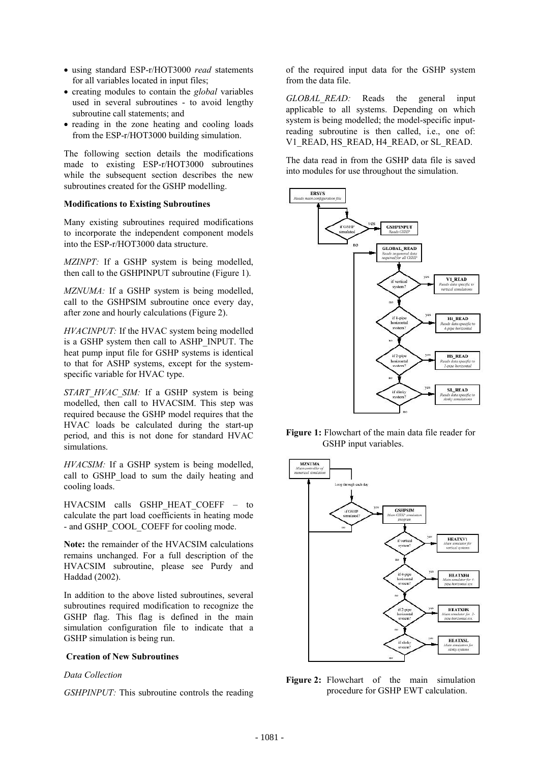- using standard ESP-r/HOT3000 *read* statements for all variables located in input files;
- creating modules to contain the *global* variables used in several subroutines - to avoid lengthy subroutine call statements; and
- reading in the zone heating and cooling loads from the ESP-r/HOT3000 building simulation.

The following section details the modifications made to existing ESP-r/HOT3000 subroutines while the subsequent section describes the new subroutines created for the GSHP modelling.

### **Modifications to Existing Subroutines**

Many existing subroutines required modifications to incorporate the independent component models into the ESP-r/HOT3000 data structure.

*MZINPT:* If a GSHP system is being modelled, then call to the GSHPINPUT subroutine (Figure 1).

*MZNUMA:* If a GSHP system is being modelled, call to the GSHPSIM subroutine once every day, after zone and hourly calculations (Figure 2).

*HVACINPUT:* If the HVAC system being modelled is a GSHP system then call to ASHP\_INPUT. The heat pump input file for GSHP systems is identical to that for ASHP systems, except for the systemspecific variable for HVAC type.

*START\_HVAC\_SIM:* If a GSHP system is being modelled, then call to HVACSIM. This step was required because the GSHP model requires that the HVAC loads be calculated during the start-up period, and this is not done for standard HVAC simulations.

*HVACSIM:* If a GSHP system is being modelled, call to GSHP load to sum the daily heating and cooling loads.

HVACSIM calls GSHP HEAT COEFF - to calculate the part load coefficients in heating mode - and GSHP\_COOL\_COEFF for cooling mode.

**Note:** the remainder of the HVACSIM calculations remains unchanged. For a full description of the HVACSIM subroutine, please see Purdy and Haddad (2002).

In addition to the above listed subroutines, several subroutines required modification to recognize the GSHP flag. This flag is defined in the main simulation configuration file to indicate that a GSHP simulation is being run.

### **Creation of New Subroutines**

### *Data Collection*

*GSHPINPUT:* This subroutine controls the reading

of the required input data for the GSHP system from the data file.

*GLOBAL READ:* Reads the general input applicable to all systems. Depending on which system is being modelled; the model-specific inputreading subroutine is then called, i.e., one of: V1\_READ, HS\_READ, H4\_READ, or SL\_READ.

The data read in from the GSHP data file is saved into modules for use throughout the simulation.



**Figure 1:** Flowchart of the main data file reader for GSHP input variables.



**Figure 2:** Flowchart of the main simulation procedure for GSHP EWT calculation.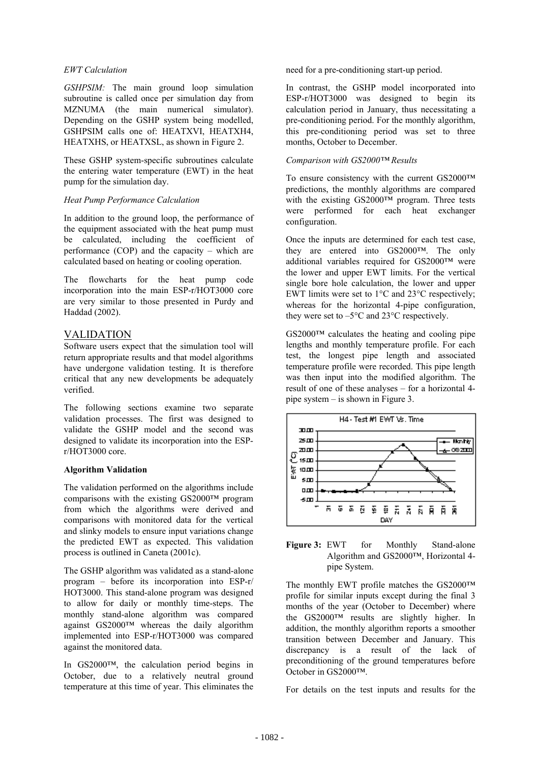## *EWT Calculation*

*GSHPSIM:* The main ground loop simulation subroutine is called once per simulation day from MZNUMA (the main numerical simulator). Depending on the GSHP system being modelled, GSHPSIM calls one of: HEATXVI, HEATXH4, HEATXHS, or HEATXSL, as shown in Figure 2.

These GSHP system-specific subroutines calculate the entering water temperature (EWT) in the heat pump for the simulation day.

## *Heat Pump Performance Calculation*

In addition to the ground loop, the performance of the equipment associated with the heat pump must be calculated, including the coefficient of performance (COP) and the capacity – which are calculated based on heating or cooling operation.

The flowcharts for the heat pump code incorporation into the main ESP-r/HOT3000 core are very similar to those presented in Purdy and Haddad (2002).

## VALIDATION

Software users expect that the simulation tool will return appropriate results and that model algorithms have undergone validation testing. It is therefore critical that any new developments be adequately verified.

The following sections examine two separate validation processes. The first was designed to validate the GSHP model and the second was designed to validate its incorporation into the ESPr/HOT3000 core.

## **Algorithm Validation**

The validation performed on the algorithms include comparisons with the existing GS2000™ program from which the algorithms were derived and comparisons with monitored data for the vertical and slinky models to ensure input variations change the predicted EWT as expected. This validation process is outlined in Caneta (2001c).

The GSHP algorithm was validated as a stand-alone program – before its incorporation into ESP-r/ HOT3000. This stand-alone program was designed to allow for daily or monthly time-steps. The monthly stand-alone algorithm was compared against GS2000™ whereas the daily algorithm implemented into ESP-r/HOT3000 was compared against the monitored data.

In GS2000™, the calculation period begins in October, due to a relatively neutral ground temperature at this time of year. This eliminates the need for a pre-conditioning start-up period.

In contrast, the GSHP model incorporated into ESP-r/HOT3000 was designed to begin its calculation period in January, thus necessitating a pre-conditioning period. For the monthly algorithm, this pre-conditioning period was set to three months, October to December.

## *Comparison with GS2000™ Results*

To ensure consistency with the current GS2000™ predictions, the monthly algorithms are compared with the existing GS2000™ program. Three tests were performed for each heat exchanger configuration.

Once the inputs are determined for each test case, they are entered into GS2000™. The only additional variables required for GS2000™ were the lower and upper EWT limits. For the vertical single bore hole calculation, the lower and upper EWT limits were set to 1°C and 23°C respectively; whereas for the horizontal 4-pipe configuration, they were set to  $-5^{\circ}$ C and  $23^{\circ}$ C respectively.

 $GS2000<sup>TM</sup>$  calculates the heating and cooling pipe lengths and monthly temperature profile. For each test, the longest pipe length and associated temperature profile were recorded. This pipe length was then input into the modified algorithm. The result of one of these analyses – for a horizontal 4 pipe system – is shown in Figure 3.



**Figure 3:** EWT for Monthly Stand-alone Algorithm and GS2000™, Horizontal 4 pipe System.

The monthly EWT profile matches the GS2000™ profile for similar inputs except during the final 3 months of the year (October to December) where the GS2000™ results are slightly higher. In addition, the monthly algorithm reports a smoother transition between December and January. This discrepancy is a result of the lack of preconditioning of the ground temperatures before October in GS2000™.

For details on the test inputs and results for the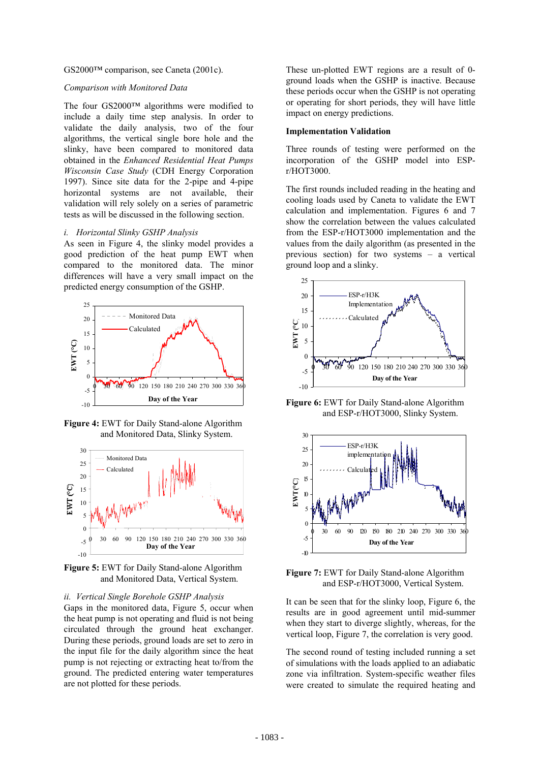GS2000™ comparison, see Caneta (2001c).

#### *Comparison with Monitored Data*

The four GS2000™ algorithms were modified to include a daily time step analysis. In order to validate the daily analysis, two of the four algorithms, the vertical single bore hole and the slinky, have been compared to monitored data obtained in the *Enhanced Residential Heat Pumps Wisconsin Case Study* (CDH Energy Corporation 1997). Since site data for the 2-pipe and 4-pipe horizontal systems are not available, their validation will rely solely on a series of parametric tests as will be discussed in the following section.

### *i. Horizontal Slinky GSHP Analysis*

As seen in Figure 4, the slinky model provides a good prediction of the heat pump EWT when compared to the monitored data. The minor differences will have a very small impact on the predicted energy consumption of the GSHP.



**Figure 4:** EWT for Daily Stand-alone Algorithm and Monitored Data, Slinky System.



**Figure 5:** EWT for Daily Stand-alone Algorithm

# *ii. Vertical Single Borehole GSHP Analysis* It can be seen that for the slinky loop, Figure 6, the

Gaps in the monitored data, Figure 5, occur when the heat pump is not operating and fluid is not being circulated through the ground heat exchanger. During these periods, ground loads are set to zero in the input file for the daily algorithm since the heat pump is not rejecting or extracting heat to/from the ground. The predicted entering water temperatures are not plotted for these periods.

These un-plotted EWT regions are a result of 0 ground loads when the GSHP is inactive. Because these periods occur when the GSHP is not operating or operating for short periods, they will have little impact on energy predictions.

#### **Implementation Validation**

Three rounds of testing were performed on the incorporation of the GSHP model into ESPr/HOT3000.

The first rounds included reading in the heating and cooling loads used by Caneta to validate the EWT calculation and implementation. Figures 6 and 7 show the correlation between the values calculated from the ESP-r/HOT3000 implementation and the values from the daily algorithm (as presented in the previous section) for two systems – a vertical ground loop and a slinky.



**Figure 6:** EWT for Daily Stand-alone Algorithm and ESP-r/HOT3000, Slinky System.



EWT for Daily Stand-alone Algorithm<br>and Monitored Data, Vertical System.<br>**Figure 7:** EWT for Daily Stand-alone Algorithm and ESP-r/HOT3000, Vertical System.

results are in good agreement until mid-summer when they start to diverge slightly, whereas, for the vertical loop, Figure 7, the correlation is very good.

The second round of testing included running a set of simulations with the loads applied to an adiabatic zone via infiltration. System-specific weather files were created to simulate the required heating and